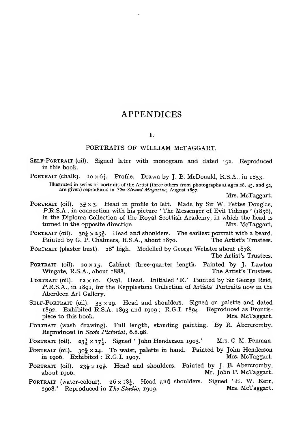## APPENDICES

#### I.

#### PORTRAITS OF WILLIAM McTAGGART.

- SELF-PORTRAIT (oil). Signed later with monogram and dated '52. Reproduced in this book.
- PORTRAIT (chalk).  $i \circ \times 6\frac{5}{8}$ . Profile. Drawn by J. B. McDonald, R.S.A., in 1853.

Illustrated in series of portraits of the Artist (three others from photographs at ages 28, 45, and 52, are given) reproduced in The Strand Magazine, August 1897.

Mrs. McTaggart.

- PORTRAIT (oil).  $3\frac{3}{5} \times 3$ . Head in profile to left. Made by Sir W. Fettes Douglas, P.R.S.A., in connection with his picture 'The Messenger of Evil Tidings ' (1856), in the Diploma Collection of the Royal Scottish Academy, in which the head is turned in the opposite direction. Mrs. McTaggart. turned in the opposite direction.
- PORTRAIT (oil).  $30\frac{1}{4} \times 25\frac{3}{4}$ . Head and shoulders. The earliest portrait with a beard.<br>Painted by G. P. Chalmers. R.S.A., about 1870. The Artist's Trustees. Painted by G. P. Chalmers, R.S.A., about 1870.
- PORTRAIT (plaster bust). 28" high. Modelled by George Webster about 1878.

The Artist's Trustees.

- PORTRAIT (oil). 20 x 15. Cabinet three-quarter length. Painted by J. Lawton Wingate. R.S.A., about 1888. The Artist's Trustees. Wingate, R.S.A., about 1888.
- PORTRAIT (oil).  $12 \times 10$ . Oval. Head. Initialed 'R.' Painted by Sir George Reid, P.R.S.A., in 1891, for the Kepplestone Collection of Artists' Portraits now in the Aberdeen Art Gallery.
- SELF-PORTRAIT (oil).  $33 \times 29$ . Head and shoulders. Signed on palette and dated 1892. Exhibited R.S.A. 1893 and 1909; R.G.I. 1894. Reproduced as Frontis-<br>piece to this book. Mrs. McTaggart. piece to this book.
- PORTRAIT (wash drawing). Full length, standing painting. By R. Abercromby. Reproduced in Scots Pictorial, 6.8.98.
- PORTRAIT (oil).  $23\frac{1}{3} \times 17\frac{1}{9}$ . Signed ' John Henderson 1903.' Mrs. C. M. Penman.
- PORTRAIT (oil).  $30\frac{3}{4} \times 24$ . To waist, palette in hand. Painted by John Henderson in 1906. Exhibited: R.G.I. 1907. in 1906. Exhibited : R.G.I. 1907.
- PORTRAIT (oil).  $23\frac{1}{2} \times 19\frac{1}{2}$ . Head and shoulders. Painted by J. B. Abercromby, about 1906. Mr. John P. McTaggart. Mr. John P. McTaggart.
- PORTRAIT (water-colour).  $26 \times 18\frac{1}{4}$ . Head and shoulders. Signed 'H. W. Kerr, 1908.' Reproduced in *The Studio*. 1909. Mrs. McTaggart. 1908.' Reproduced in The Studio, 1909.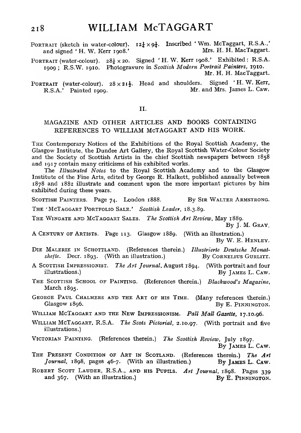- PORTRAIT (sketch in water-colour).  $12\frac{1}{4} \times 9\frac{1}{4}$ . Inscribed 'Wm. McTaggart, R.S.A.,'<br>and signed 'H. W. Kerr 1008.' Mrs. H. H. MacTaggart. and signed 'H. W. Kerr 1908.'
- PORTRAIT (water-colour).  $28\frac{1}{4} \times 20$ . Signed 'H. W. Kerr 1908.' Exhibited : R.S.A. 1909 ; R.S.W. 1910. Photogravure in Scottish Modern Portrait Painters, 1910. Mr. H. H. MacTaggart.
- PORTRAIT (water-colour).  $28 \times 21\frac{1}{2}$ . Head and shoulders. Signed 'H.W.Kerr, R.S.A.' Painted 1909. Mr. and Mrs. James L. Caw. Mr. and Mrs. James L. Caw.

#### n.

### MAGAZINE AND OTHER ARTICLES AND BOOKS CONTAINING REFERENCES TO WILLIAM McTAGGART AND HIS WORK.

The Contemporary Notices of the Exhibitions of the Royal Scottish Academy, the Glasgow Institute, the Dundee Art Gallery, the Royal Scottish Water-Colour Society and the Society of Scottish Artists in the chief Scottish newspapers between 1858 and 1917 contain many criticisms of his exhibited works.

The Illustrated Notes to the Royal Scottish Academy and to the Glasgow Institute of the Fine Arts, edited by George R. Halkett, published annually between 1878 and 1882 illustrate and comment upon the more important pictures by him exhibited during these years.

SCOTTISH PAINTERS. Page 74. London 1888. By SIR WALTER ARMSTRONG.

THE 'MCTAGGART PORTFOLIO SALE.' Scottish Leader, 18.3.89.

THE WINGATE AND MCTAGGART SALES. The Scottish Art Review, May 1889.<br>By J. M. Gray.

A Century OF Artists. Page 113. Glasgow 1889. (With an illustration.) By W. E. Henley.

- Die Malerie in Schottland. (References therein.) Illustrierte Deutsche Monatshefte. Decr. 1893. (With an illustration.) By CORNELIUS GURLITT.
- A SCOTTISH IMPRESSIONIST. The Art Journal, August 1894. (With portrait and four illustrations.) By IAMES L. CAW. By JAMES L. CAW.
- THE SCOTTISH SCHOOL OF PAINTING. (References therein.) Blackwood's Magazine, March 1895.
- GEORGE PAUL CHALMERS AND THE ART OF HIS TIME. (Many references therein.)<br>Glasgow 1896. By E. PINNINGTON. By E. PINNINGTON.
- WILLIAM MCTAGGART AND THE NEW IMPRESSIONISM. Pall Mall Gazette, 17.10.96.
- WILLIAM MCTAGGART, R.S.A. The Scots Pictorial, 2.10.97. (With portrait and five illustrations.)
- VICTORIAN PAINTING. (References therein.) The Scottish Review, July 1897.<br>By JAMES L. CAW.
- THE PRESENT CONDITION OF ART IN SCOTLAND. (References therein.) The Art Journal, 1898, pages 46-7. (With an illustration.) By JAMES L. CAW.
- ROBERT SCOTT LAUDER, R.S.A., AND HIS PUPILS. Art Journal, 1898. Pages 339 and 367. (With an illustration.) By E. PINNINGTON. and  $367.$  (With an illustration.)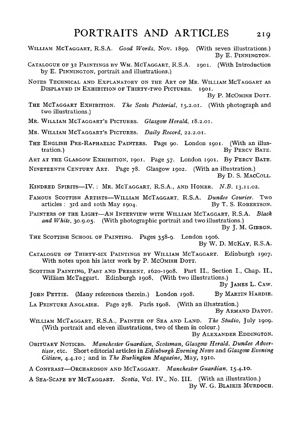- WILLIAM MCTAGGART, R.S.A. Good Words, Nov. 1899. (With seven illustrations.) By E. PINNINGTON.
- CATALOGUE OF 32 PAINTINGS BY WM. MCTAGGART, R.S.A. 1901. (With Introduction by E. PiNNINGTON, portrait and illustrations.)
- Notes Technical and Explanatory on the Art of Mr. William McTaggart as Displayed in Exhibition of Thirty-two Pictures. 1901.

By P. McOmish Dott.

- THE MCTAGGART EXHIBITION. The Scots Pictorial, 15.2.01. (With photograph and two illustrations.)
- MR. WILLIAM MCTAGGART'S PICTURES. Glasgow Herald, 18.2.01.

MR. WILLIAM MCTAGGART'S PICTURES. Daily Record, 22.2.01.

THE ENGLISH PRE-RAPHAELIC PAINTERS. Page 90. London 1901. (With an illus-<br>tration.) By PERCY BATE. By PERCY BATE.

ART AT THE GLASGOW EXHIBITION, 1901. Page 57. London 1901. By PERCY BATE.

Nineteenth Century Art. Page 78. Glasgow 1902. (With an illustration.) By D. S. MacColl.

Kindred Spirits—IV. : Mr. McTaggart, R.S.A., and Homer. N.B. 13. 11.02.

- FAMOUS SCOTTISH ARTISTS—WILLIAM MCTAGGART, R.S.A. Dundee Courier. Two articles: 3rd and 10th May 1904. By T. S. ROBERTSON. articles :  $3rd$  and  $10th$  May  $1904$ .
- PAINTERS OF THE LIGHT-AN INTERVIEW WITH WILLIAM MCTAGGART, R.S.A. Black and White, 30.9.05. (With photographic portrait and two illustrations.)

By J. M. Gibbon.

THE SCOTTISH SCHOOL OF PAINTING. Pages 358-9. London 1906. By W. D. McKay, R.S.A.

- Catalogue of Thirty-six Paintings by William McTaggart. Edinburgh 1907. With notes upon his later work by P. McOmish Dorr.
- SCOTTISH PAINTING, PAST AND PRESENT, 1620-1908. Part II., Section I., Chap. II., William McTaggart. Edinburgh 1908. (With two illustrations.)

By James L. Caw.

JOHN PETTIE. (Many references therein.) London 1908. By MARTIN HARDIE.

LA PEINTURE ANGLAISE. Page 278. Paris 1908. (With an illustration.)

By Armand Dayot.

WILLIAM MCTAGGART, R.S.A., PAINTER OF SEA AND LAND. The Studio, July 1909. (With portrait and eleven illustrations, two of them in colour.)

By Alexander Eddington.

- Obituary Notices. Manchester Guardian, Scotsman, Glasgow Herald, Dundee Advertiser, etc. Short editorial articles in Edinburgh Evening News and Glasgow Evening Citizen, 4.4.10 ; and in The Burlington Magazine, May, 1910.
- A CONTRAST-ORCHARDSON AND MCTAGGART. Manchester Guardian, 15.4.10.
- A Sea-Scape by McTaggart. Scotia, Vol. IV., No. III. (With an illustration.) By W. G. Blaikie Murdoch.